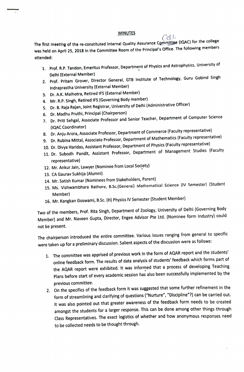## MINUTES

The first meeting of the re-constituted Internal Quality Assurance Committee (IQAC) for the college<br>The following members was held on April 25, 2018 In the Committee Room of the Principal's Office. The following members attended:

- 1. Prof. R.P. Tandon, Emeritus Professor, Department of Physics and Astrophysics, University of Delhi (External Member)
- 2. Prof. Pritam Grover, Director General, GTB Institute of Technology, Guru Gobind Singh Indraprastha University (External Member)
- 3. Dr.A.K. Malhotra, Retired IFS (External Member)
- 4. Mr. R.P. Singh, Retired IFS (Governing Body member)
- 5. Dr. B. Raja Rajan, Joint Registrar, University of Delhi (Administrative Officer)
- 6. Dr. Madhu Pruthi, Principal (Chairperson)
- 7. Dr. Priti Sehgal, Associate Professor and Senior Teacher, Department of Computer Science (1QAC Coordinator)
- 8. Dr. Anju Arora, Associate Professor, Department of Commerce (Faculty representative)
- 9. Dr. Rubina Mittal, Associate Professor, Department of Mathematics (Faculty representative)
- 10. Dr. Divya Haridas, Assistant Professor, Department of Physics (Faculty representative)
- 11. Dr. Subodh Pandit, Assistant Professor, Department of Management Studies (Faculty representative)
- 12. Mr. Ankur Jain, Lawyer (Nominee from Local Society)
- 13. CA Gaurav Sukhija (Alumni)
- 14. Mr. Satish Kumar (Nominees from Stakeholders, Parent)
- 15. Ms. Vishwambhara Rathore, B.Sc. (Generai) Mathematical Science (IV Semester) (Student Member)
- 16. Mr. Kangkan Goswami, B.Sc. (H) Physics IV Semester (Student Member)

Two of the members, Prof. Rita Singh, Department of Zoology, University of Delhi (Governing Body Member) and Mr. Naveen Gupta, Director, Engee Advisor Pte Ltd. (Nominee form Industry) could not be present.

The chairperson introduced the entire committee. Various issues ranging from general to specific were taken up for a preliminary discussion. Salient aspects of the discussion were as follows:

- 1. The committee was apprised of previous work in the form of AQAR report and the students' online feedback form. The results of data analysis of students' feedback which forms part of the AQAR report were exhibited. It was informed that a process of developing Teaching Plans before start of every academic session has also been successfully implemented by the previous committee.
- 2. On the specifics of the feedback form it was suggested that some further refinement in the form of streamlining and clarifying of questions ("Nurture", "Discipline"?) can be carried out. It was also pointed out that greater awareness of the feedback form needs to be created amongst the students for a larger response. This can be done among other things through Class Representatives. The exact logistics of whether and how anonymous responses need to be collected needs to be thought through.